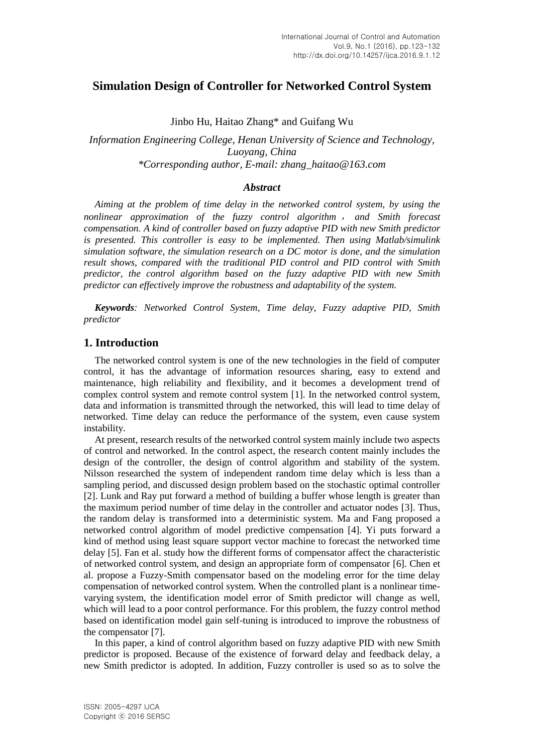# **Simulation Design of Controller for Networked Control System**

Jinbo Hu, Haitao Zhang\* and Guifang Wu

*Information Engineering College, Henan University of Science and Technology, Luoyang, China \*Corresponding author, E-mail: zhang\_haitao@163.com*

### *Abstract*

*Aiming at the problem of time delay in the networked control system, by using the nonlinear approximation of the fuzzy control algorithm* , *and Smith forecast compensation. A kind of controller based on fuzzy adaptive PID with new Smith predictor is presented. This controller is easy to be implemented. Then using Matlab/simulink simulation software, the simulation research on a DC motor is done, and the simulation result shows, compared with the traditional PID control and PID control with Smith predictor, the control algorithm based on the fuzzy adaptive PID with new Smith predictor can effectively improve the robustness and adaptability of the system.* 

*Keywords: Networked Control System, Time delay, Fuzzy adaptive PID, Smith predictor*

## **1. Introduction**

The networked control system is one of the new technologies in the field of computer control, it has the advantage of information resources sharing, easy to extend and maintenance, high reliability and flexibility, and it becomes a development trend of complex control system and remote control system [1]. In the networked control system, data and information is transmitted through the networked, this will lead to time delay of networked. Time delay can reduce the performance of the system, even cause system instability.

At present, research results of the networked control system mainly include two aspects of control and networked. In the control aspect, the research content mainly includes the design of the controller, the design of control algorithm and stability of the system. Nilsson researched the system of independent random time delay which is less than a sampling period, and discussed design problem based on the stochastic optimal controller [2]. Lunk and Ray put forward a method of building a buffer whose length is greater than the maximum period number of time delay in the controller and actuator nodes [3]. Thus, the random delay is transformed into a deterministic system. Ma and Fang proposed a networked control algorithm of model predictive compensation [4]. Yi puts forward a kind of method using least square support vector machine to forecast the networked time delay [5]. Fan et al. study how the different forms of compensator affect the characteristic of networked control system, and design an appropriate form of compensator [6]. Chen et al. propose a Fuzzy-Smith compensator based on the modeling error for the time delay compensation of networked control system. When the controlled plant is a nonlinear timevarying system, the identification model error of Smith predictor will change as well, which will lead to a poor control performance. For this problem, the fuzzy control method based on identification model gain self-tuning is introduced to improve the robustness of the compensator [7].

In this paper, a kind of control algorithm based on fuzzy adaptive PID with new Smith predictor is proposed. Because of the existence of forward delay and feedback delay, a new Smith predictor is adopted. In addition, Fuzzy controller is used so as to solve the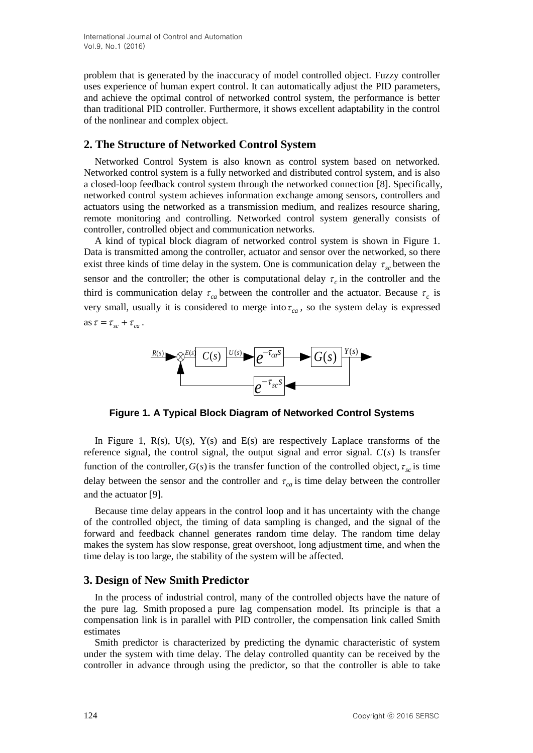problem that is generated by the inaccuracy of model controlled object. Fuzzy controller uses experience of human expert control. It can automatically adjust the PID parameters, and achieve the optimal control of networked control system, the performance is better than traditional PID controller. Furthermore, it shows excellent adaptability in the control of the nonlinear and complex object.

# **2. The Structure of Networked Control System**

Networked Control System is also known as control system based on networked. Networked control system is a fully networked and distributed control system, and is also a closed-loop feedback control system through the networked connection [8]. Specifically, networked control system achieves information exchange among sensors, controllers and actuators using the networked as a transmission medium, and realizes resource sharing, remote monitoring and controlling. Networked control system generally consists of controller, controlled object and communication networks.

A kind of typical block diagram of networked control system is shown in Figure 1. Data is transmitted among the controller, actuator and sensor over the networked, so there exist three kinds of time delay in the system. One is communication delay  $\tau_{sc}$  between the sensor and the controller; the other is computational delay  $\tau_c$  in the controller and the third is communication delay  $\tau_{ca}$  between the controller and the actuator. Because  $\tau_c$  is as  $\tau = \tau_{sc} + \tau_{ca}$ .



**Figure 1. A Typical Block Diagram of Networked Control Systems**

In Figure 1,  $R(s)$ ,  $U(s)$ ,  $Y(s)$  and  $E(s)$  are respectively Laplace transforms of the reference signal, the control signal, the output signal and error signal.  $C(s)$  Is transfer function of the controller,  $G(s)$  is the transfer function of the controlled object,  $\tau_{sc}$  is time delay between the sensor and the controller and  $\tau_{ca}$  is time delay between the controller and the actuator [9].

Because time delay appears in the control loop and it has uncertainty with the change of the controlled object, the timing of data sampling is changed, and the signal of the forward and feedback channel generates random time delay. The random time delay makes the system has slow response, great overshoot, long adjustment time, and when the time delay is too large, the stability of the system will be affected.

# **3. Design of New Smith Predictor**

In the process of industrial control, many of the controlled objects have the nature of the pure lag. Smith proposed a pure lag compensation model. Its principle is that a compensation link is in parallel with PID controller, the compensation link called Smith estimates

Smith predictor is characterized by predicting the dynamic characteristic of system under the system with time delay. The delay controlled quantity can be received by the controller in advance through using the predictor, so that the controller is able to take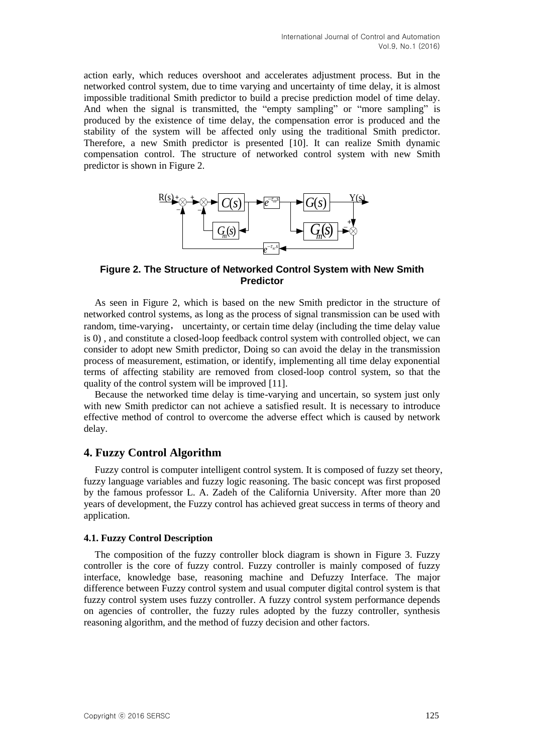action early, which reduces overshoot and accelerates adjustment process. But in the networked control system, due to time varying and uncertainty of time delay, it is almost impossible traditional Smith predictor to build a precise prediction model of time delay. And when the signal is transmitted, the "empty sampling" or "more sampling" is produced by the existence of time delay, the compensation error is produced and the stability of the system will be affected only using the traditional Smith predictor. Therefore, a new Smith predictor is presented [10]. It can realize Smith dynamic compensation control. The structure of networked control system with new Smith predictor is shown in Figure 2.



**Figure 2. The Structure of Networked Control System with New Smith Predictor**

As seen in Figure 2, which is based on the new Smith predictor in the structure of networked control systems, as long as the process of signal transmission can be used with random, time-varying, uncertainty, or certain time delay (including the time delay value is 0) , and constitute a closed-loop feedback control system with controlled object, we can consider to adopt new Smith predictor, Doing so can avoid the delay in the transmission process of measurement, estimation, or identify, implementing all time delay exponential terms of affecting stability are removed from closed-loop control system, so that the quality of the control system will be improved [11].

Because the networked time delay is time-varying and uncertain, so system just only with new Smith predictor can not achieve a satisfied result. It is necessary to introduce effective method of control to overcome the adverse effect which is caused by network delay.

## **4. Fuzzy Control Algorithm**

Fuzzy control is computer intelligent control system. It is composed of fuzzy set theory, fuzzy language variables and fuzzy logic reasoning. The basic concept was first proposed by the famous professor L. A. Zadeh of the California University. After more than 20 years of development, the Fuzzy control has achieved great success in terms of theory and application.

### **4.1. Fuzzy Control Description**

The composition of the fuzzy controller block diagram is shown in Figure 3. Fuzzy controller is the core of fuzzy control. Fuzzy controller is mainly composed of fuzzy interface, knowledge base, reasoning machine and Defuzzy Interface. The major difference between Fuzzy control system and usual computer digital control system is that fuzzy control system uses fuzzy controller. A fuzzy control system performance depends on agencies of controller, the fuzzy rules adopted by the fuzzy controller, synthesis reasoning algorithm, and the method of fuzzy decision and other factors.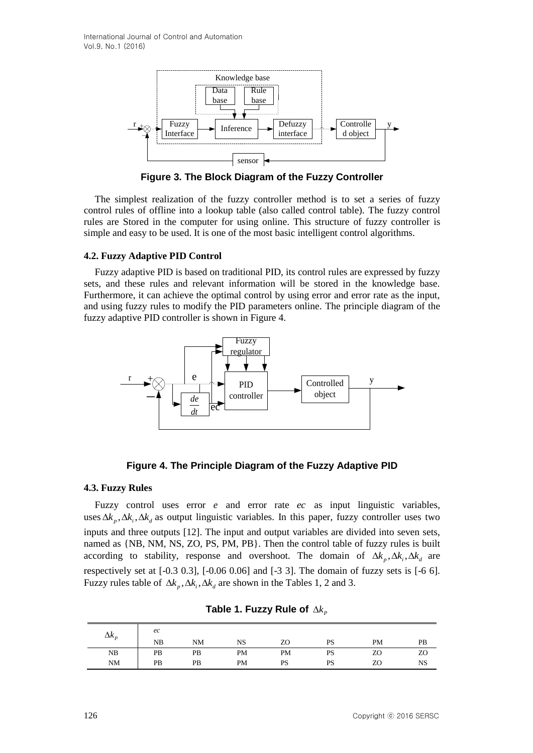

**Figure 3. The Block Diagram of the Fuzzy Controller**

The simplest realization of the fuzzy controller method is to set a series of fuzzy control rules of offline into a lookup table (also called control table). The fuzzy control rules are Stored in the computer for using online. This structure of fuzzy controller is simple and easy to be used. It is one of the most basic intelligent control algorithms.

## **4.2. Fuzzy Adaptive PID Control**

Fuzzy adaptive PID is based on traditional PID, its control rules are expressed by fuzzy sets, and these rules and relevant information will be stored in the knowledge base. Furthermore, it can achieve the optimal control by using error and error rate as the input, and using fuzzy rules to modify the PID parameters online. The principle diagram of the fuzzy adaptive PID controller is shown in Figure 4.



# **Figure 4. The Principle Diagram of the Fuzzy Adaptive PID**

## **4.3. Fuzzy Rules**

Fuzzy control uses error *e* and error rate *ec* as input linguistic variables, uses  $\Delta k_p$ ,  $\Delta k_i$ ,  $\Delta k_d$  as output linguistic variables. In this paper, fuzzy controller uses two inputs and three outputs [12]. The input and output variables are divided into seven sets, named as {NB, NM, NS, ZO, PS, PM, PB}. Then the control table of fuzzy rules is built according to stability, response and overshoot. The domain of  $\Delta k_p$ ,  $\Delta k_i$ ,  $\Delta k_d$  are respectively set at [-0.3 0.3], [-0.06 0.06] and [-3 3]. The domain of fuzzy sets is [-6 6]. Fuzzy rules table of  $\Delta k_p$ ,  $\Delta k_i$ ,  $\Delta k_d$  are shown in the Tables 1, 2 and 3.

| $\Delta k_{p}$ | ec<br>NB | NM | NS | ZO | <b>PS</b> | <b>PM</b> | PB |
|----------------|----------|----|----|----|-----------|-----------|----|
| NB             | PB       | PB | PM | PM | PS        | ZO        | ZO |
| NM             | PB       | PB | PM | PS | PS        | ZO        | NS |

|  |  | Table 1. Fuzzy Rule of $\Delta k_{p}$ |  |  |  |
|--|--|---------------------------------------|--|--|--|
|--|--|---------------------------------------|--|--|--|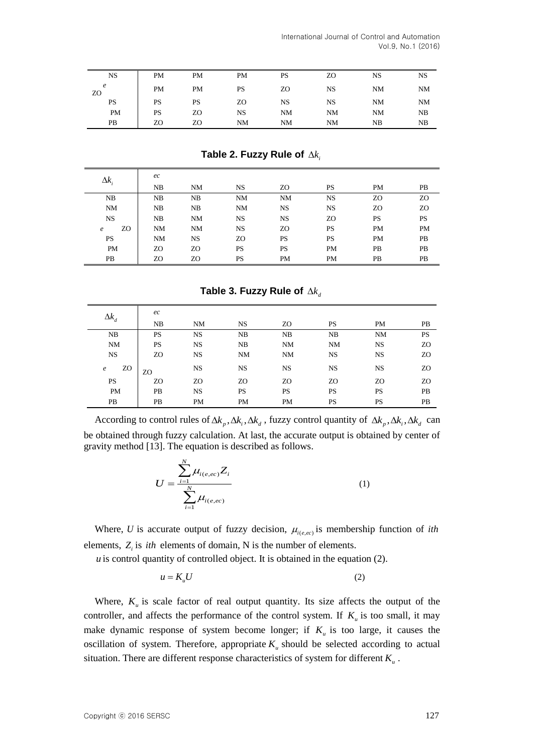| <b>NS</b> | <b>PM</b> | PM        | <b>PM</b> | <b>PS</b> | ZO | NS | <b>NS</b> |
|-----------|-----------|-----------|-----------|-----------|----|----|-----------|
| e<br>ZO   | <b>PM</b> | PM        | <b>PS</b> | ZΟ        | NS | NM | <b>NM</b> |
| PS        | <b>PS</b> | <b>PS</b> | ZO        | NS        | NS | NM | <b>NM</b> |
| PM        | <b>PS</b> | ZΟ        | NS        | <b>NM</b> | NM | NM | NB        |
| PВ        | ZO        | ZΟ        | NM        | <b>NM</b> | NM | NΒ | NB        |

**Table 2. Fuzzy Rule of** *<sup>i</sup> k*

| $\Delta k_i$     | ec        |           |           |           |           |           |           |
|------------------|-----------|-----------|-----------|-----------|-----------|-----------|-----------|
|                  | NB        | <b>NM</b> | <b>NS</b> | ZΟ        | <b>PS</b> | <b>PM</b> | PB        |
| NB               | NB        | NB        | <b>NM</b> | <b>NM</b> | <b>NS</b> | ZO        | ZO        |
| <b>NM</b>        | NB        | NB        | <b>NM</b> | <b>NS</b> | <b>NS</b> | ZO        | ZO        |
| <b>NS</b>        | NB        | NM        | <b>NS</b> | <b>NS</b> | ZO        | <b>PS</b> | <b>PS</b> |
| ZO<br>$\epsilon$ | <b>NM</b> | <b>NM</b> | <b>NS</b> | ZO        | PS        | PM        | PM        |
| <b>PS</b>        | <b>NM</b> | NS        | ZO        | <b>PS</b> | PS        | PM        | PB        |
| PM               | ZO        | ZO        | <b>PS</b> | <b>PS</b> | <b>PM</b> | PB        | PB        |
| PB               | ZO.       | ZO        | <b>PS</b> | PM        | <b>PM</b> | PB        | PB        |

# **Table 3. Fuzzy Rule of** *<sup>d</sup> k*

| $\Delta k_d$     | ec        |           |           |           |           |           |           |
|------------------|-----------|-----------|-----------|-----------|-----------|-----------|-----------|
|                  | NB        | NM        | <b>NS</b> | ZO        | <b>PS</b> | PM        | PB        |
| NB               | <b>PS</b> | <b>NS</b> | NB        | NB        | NB        | <b>NM</b> | PS        |
| NM               | <b>PS</b> | <b>NS</b> | NB        | <b>NM</b> | <b>NM</b> | <b>NS</b> | ZO        |
| <b>NS</b>        | ZO        | <b>NS</b> | NM        | <b>NM</b> | <b>NS</b> | <b>NS</b> | ZO        |
| ZO<br>$\epsilon$ | ZO        | <b>NS</b> | <b>NS</b> | <b>NS</b> | <b>NS</b> | <b>NS</b> | ZO        |
| <b>PS</b>        | ZO        | ZO        | ZO        | ZO        | ZO        | ZO        | ZO        |
| PM               | PB        | <b>NS</b> | PS        | <b>PS</b> | <b>PS</b> | <b>PS</b> | PB        |
| <b>PB</b>        | PB        | <b>PM</b> | <b>PM</b> | <b>PM</b> | <b>PS</b> | <b>PS</b> | <b>PB</b> |

According to control rules of  $\Delta k_p$ ,  $\Delta k_i$ ,  $\Delta k_d$ , fuzzy control quantity of  $\Delta k_p$ ,  $\Delta k_i$ ,  $\Delta k_d$  can be obtained through fuzzy calculation. At last, the accurate output is obtained by center of gravity method [13]. The equation is described as follows.

$$
U = \frac{\sum_{i=1}^{N} \mu_{i(e,ec)} Z_i}{\sum_{i=1}^{N} \mu_{i(e,ec)}}
$$
 (1)

Where, U is accurate output of fuzzy decision,  $\mu_{i(e,ec)}$  is membership function of *ith* elements,  $Z_i$  is *ith* elements of domain, N is the number of elements.

*u* is control quantity of controlled object. It is obtained in the equation (2).

$$
u = K_u U \tag{2}
$$

Where,  $K_u$  is scale factor of real output quantity. Its size affects the output of the controller, and affects the performance of the control system. If  $K_u$  is too small, it may make dynamic response of system become longer; if  $K<sub>u</sub>$  is too large, it causes the oscillation of system. Therefore, appropriate  $K<sub>u</sub>$  should be selected according to actual situation. There are different response characteristics of system for different *K u* .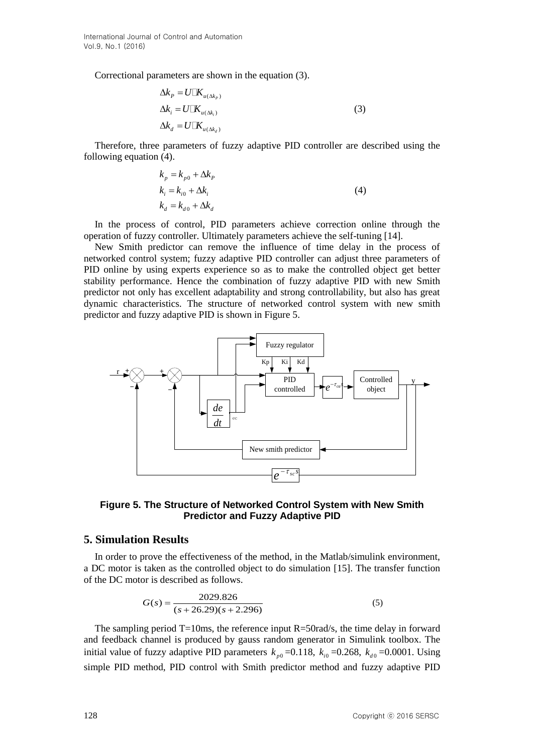Correctional parameters are shown in the equation (3).

$$
\Delta k_P = U \square K_{u(\Delta k_P)}
$$
  
\n
$$
\Delta k_i = U \square K_{u(\Delta k_i)}
$$
  
\n
$$
\Delta k_d = U \square K_{u(\Delta k_d)}
$$
\n(3)

Therefore, three parameters of fuzzy adaptive PID controller are described using the following equation (4).

$$
k_p = k_{p0} + \Delta k_p
$$
  
\n
$$
k_i = k_{i0} + \Delta k_i
$$
  
\n
$$
k_d = k_{d0} + \Delta k_d
$$
\n(4)

In the process of control, PID parameters achieve correction online through the operation of fuzzy controller. Ultimately parameters achieve the self-tuning [14].

New Smith predictor can remove the influence of time delay in the process of networked control system; fuzzy adaptive PID controller can adjust three parameters of PID online by using experts experience so as to make the controlled object get better stability performance. Hence the combination of fuzzy adaptive PID with new Smith predictor not only has excellent adaptability and strong controllability, but also has great dynamic characteristics. The structure of networked control system with new smith predictor and fuzzy adaptive PID is shown in Figure 5.



## **Figure 5. The Structure of Networked Control System with New Smith Predictor and Fuzzy Adaptive PID**

### **5. Simulation Results**

In order to prove the effectiveness of the method, in the Matlab/simulink environment, a DC motor is taken as the controlled object to do simulation [15]. The transfer function of the DC motor is described as follows.

$$
G(s) = \frac{2029.826}{(s + 26.29)(s + 2.296)}
$$
(5)

The sampling period  $T=10$ ms, the reference input  $R=50$ rad/s, the time delay in forward and feedback channel is produced by gauss random generator in Simulink toolbox. The initial value of fuzzy adaptive PID parameters  $k_{p0}$  =0.118,  $k_{i0}$  =0.268,  $k_{d0}$  =0.0001. Using simple PID method, PID control with Smith predictor method and fuzzy adaptive PID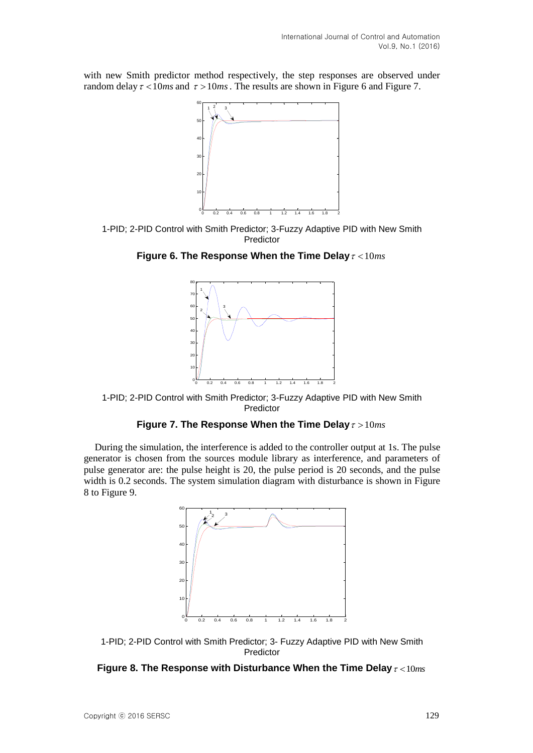with new Smith predictor method respectively, the step responses are observed under random delay  $\tau$  < 10*ms* and  $\tau$  > 10*ms*. The results are shown in Figure 6 and Figure 7.



1-PID; 2-PID Control with Smith Predictor; 3-Fuzzy Adaptive PID with New Smith Predictor

Figure 6. The Response When the Time Delay  $\tau$  < 10 $ms$ 



1-PID; 2-PID Control with Smith Predictor; 3-Fuzzy Adaptive PID with New Smith Predictor

#### Figure 7. The Response When the Time Delay  $\tau > 10 ms$

During the simulation, the interference is added to the controller output at 1s. The pulse generator is chosen from the sources module library as interference, and parameters of pulse generator are: the pulse height is 20, the pulse period is 20 seconds, and the pulse width is 0.2 seconds. The system simulation diagram with disturbance is shown in Figure 8 to Figure 9.



1-PID; 2-PID Control with Smith Predictor; 3- Fuzzy Adaptive PID with New Smith Predictor

### **Figure 8. The Response with Disturbance When the Time Delay** 10*ms*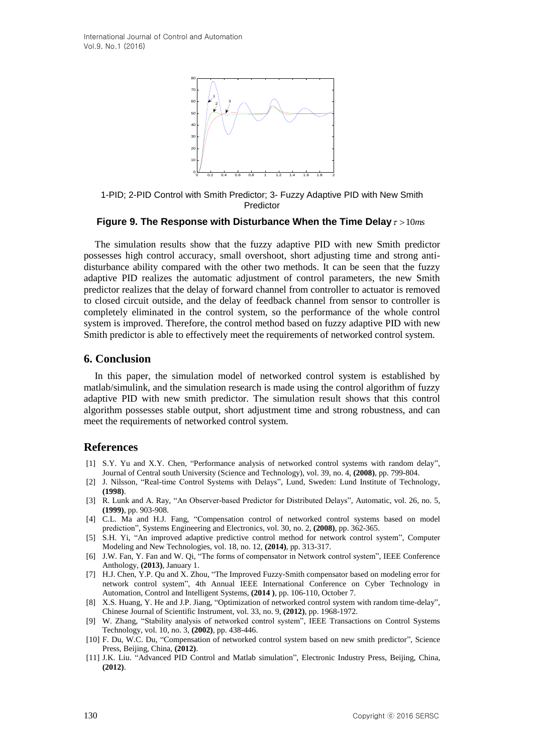

1-PID; 2-PID Control with Smith Predictor; 3- Fuzzy Adaptive PID with New Smith Predictor

#### Figure 9. The Response with Disturbance When the Time Delay  $\tau > 10$ ms

The simulation results show that the fuzzy adaptive PID with new Smith predictor possesses high control accuracy, small overshoot, short adjusting time and strong antidisturbance ability compared with the other two methods. It can be seen that the fuzzy adaptive PID realizes the automatic adjustment of control parameters, the new Smith predictor realizes that the delay of forward channel from controller to actuator is removed to closed circuit outside, and the delay of feedback channel from sensor to controller is completely eliminated in the control system, so the performance of the whole control system is improved. Therefore, the control method based on fuzzy adaptive PID with new Smith predictor is able to effectively meet the requirements of networked control system.

#### **6. Conclusion**

In this paper, the simulation model of networked control system is established by matlab/simulink, and the simulation research is made using the control algorithm of fuzzy adaptive PID with new smith predictor. The simulation result shows that this control algorithm possesses stable output, short adjustment time and strong robustness, and can meet the requirements of networked control system.

#### **References**

- [1] S.Y. Yu and X.Y. Chen, "Performance analysis of networked control systems with random delay", Journal of Central south University (Science and Technology), vol. 39, no. 4, **(2008)**, pp. 799-804.
- [2] J. Nilsson, "Real-time Control Systems with Delays", Lund, Sweden: Lund Institute of Technology, **(1998)**.
- [3] R. Lunk and A. Ray, "An Observer-based Predictor for Distributed Delays", Automatic, vol. 26, no. 5, **(1999)**, pp. 903-908.
- [4] C.L. Ma and H.J. Fang, "Compensation control of networked control systems based on model prediction", Systems Engineering and Electronics, vol. 30, no. 2, **(2008)**, pp. 362-365.
- [5] S.H. Yi, "An improved adaptive predictive control method for network control system", Computer Modeling and New Technologies, vol. 18, no. 12, **(2014)**, pp. 313-317.
- [6] J.W. Fan, Y. Fan and W. Qi, "The forms of compensator in Network control system", IEEE Conference Anthology, **(2013)**, January 1.
- [7] H.J. Chen, Y.P. Qu and X. Zhou, "The Improved Fuzzy-Smith compensator based on modeling error for network control system", 4th Annual IEEE International Conference on Cyber Technology in Automation, Control and Intelligent Systems, **(2014 )**, pp. 106-110, October 7.
- [8] X.S. Huang, Y. He and J.P. Jiang, "Optimization of networked control system with random time-delay", Chinese Journal of Scientific Instrument, vol. 33, no. 9, **(2012)**, pp. 1968-1972.
- [9] W. Zhang, "Stability analysis of networked control system", IEEE Transactions on Control Systems Technology, vol. 10, no. 3, **(2002)**, pp. 438-446.
- [10] F. Du, W.C. Du, "Compensation of networked control system based on new smith predictor", Science Press, Beijing, China, **(2012)**.
- [11] J.K. Liu. "Advanced PID Control and Matlab simulation", Electronic Industry Press, Beijing, China, **(2012)**.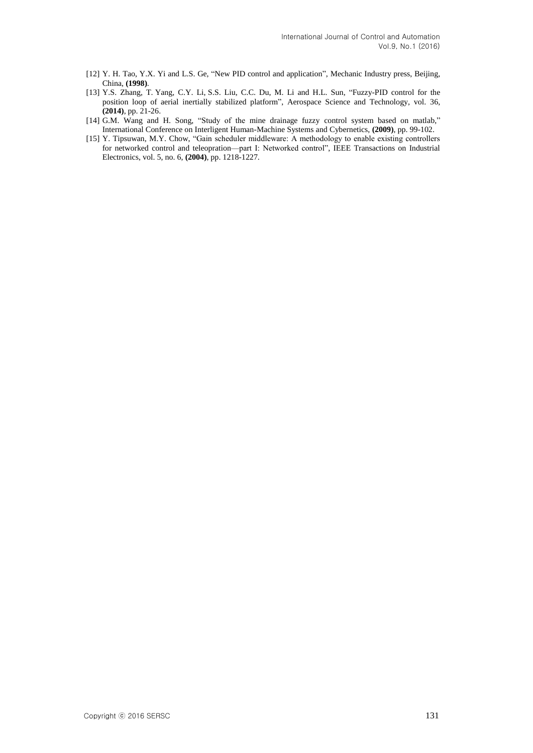- [12] Y. H. Tao, Y.X. Yi and L.S. Ge, "New PID control and application", Mechanic Industry press, Beijing, China, **(1998)**.
- [13] Y.S. [Zhang,](http://www.engineeringvillage.com/search/submit.url?CID=quickSearchCitationFormat&searchtype=Quick&searchWord1=%7bZhang%2C+Yanshun%7d§ion1=AU&database=1&yearselect=yearrange&sort=yr) T. [Yang, C](http://www.engineeringvillage.com/search/submit.url?CID=quickSearchCitationFormat&searchtype=Quick&searchWord1=%7bYang%2C+Tao%7d§ion1=AU&database=1&yearselect=yearrange&sort=yr).Y. [Li,](http://www.engineeringvillage.com/search/submit.url?CID=quickSearchCitationFormat&searchtype=Quick&searchWord1=%7bLi%2C+Chunyu%7d§ion1=AU&database=1&yearselect=yearrange&sort=yr) S.S. [Liu, C](http://www.engineeringvillage.com/search/submit.url?CID=quickSearchCitationFormat&searchtype=Quick&searchWord1=%7bLiu%2C+Shanshan%7d§ion1=AU&database=1&yearselect=yearrange&sort=yr).C. [Du, M](http://www.engineeringvillage.com/search/submit.url?CID=quickSearchCitationFormat&searchtype=Quick&searchWord1=%7bDu%2C+Chaochao%7d§ion1=AU&database=1&yearselect=yearrange&sort=yr). Li and H.L. [Sun, "](http://www.engineeringvillage.com/search/submit.url?CID=quickSearchCitationFormat&searchtype=Quick&searchWord1=%7bSun%2C+Hailing%7d§ion1=AU&database=1&yearselect=yearrange&sort=yr)Fuzzy-PID control for the position loop of aerial inertially stabilized platform", Aerospace Science and Technology, vol. 36, **(2014)**, pp. 21-26.
- [14] G.M. Wang and H. Song, "Study of the mine drainage fuzzy control system based on matlab," International Conference on Interligent Human-Machine Systems and Cybernetics, **(2009)**, pp. 99-102.
- [15] Y. Tipsuwan, M.Y. Chow, "Gain scheduler middleware: A methodology to enable existing controllers for networked control and teleopration—part I: Networked control", IEEE Transactions on Industrial Electronics, vol. 5, no. 6, **(2004)**, pp. 1218-1227.